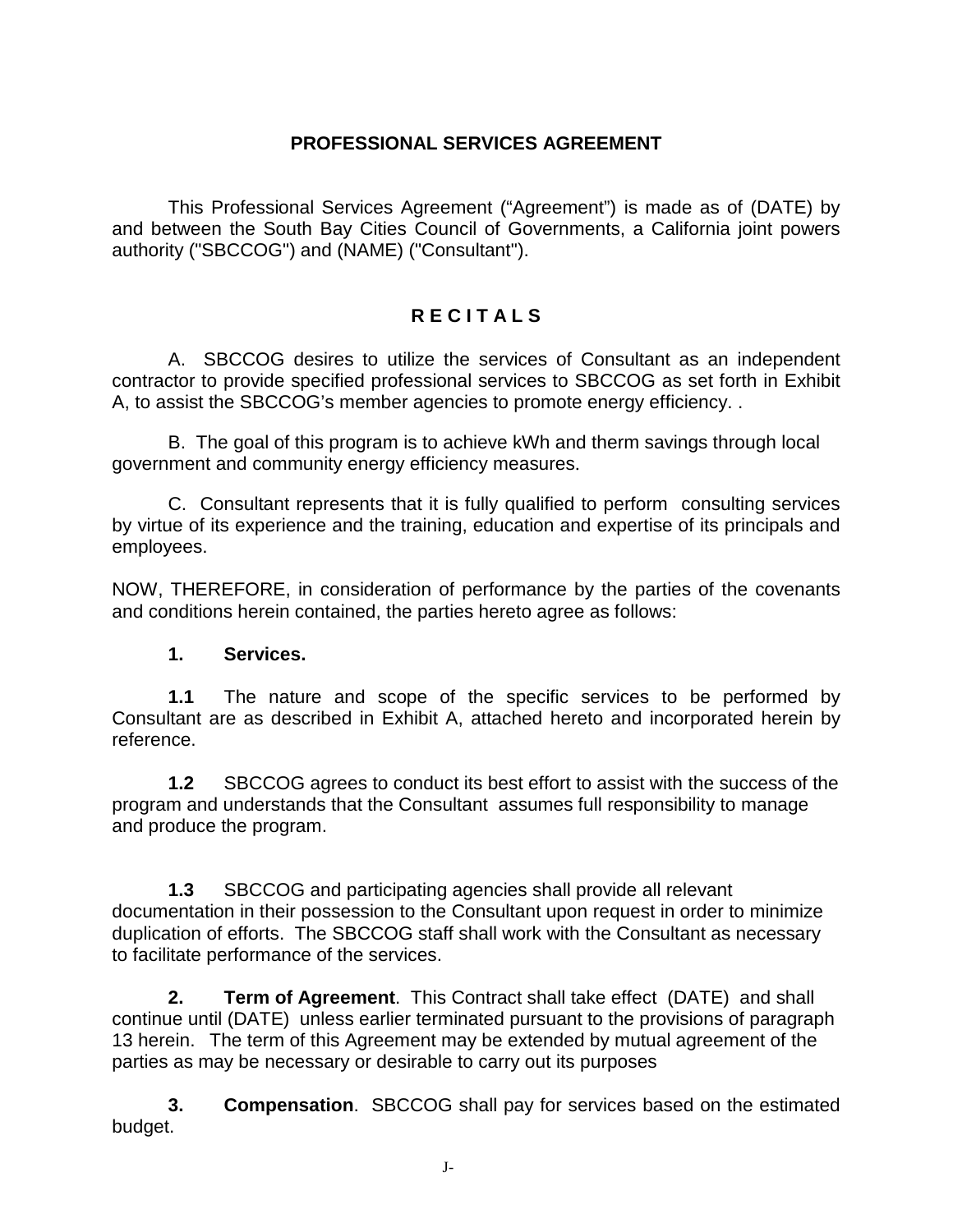#### **PROFESSIONAL SERVICES AGREEMENT**

This Professional Services Agreement ("Agreement") is made as of (DATE) by and between the South Bay Cities Council of Governments, a California joint powers authority ("SBCCOG") and (NAME) ("Consultant").

# **R E C I T A L S**

A. SBCCOG desires to utilize the services of Consultant as an independent contractor to provide specified professional services to SBCCOG as set forth in Exhibit A, to assist the SBCCOG's member agencies to promote energy efficiency. .

B. The goal of this program is to achieve kWh and therm savings through local government and community energy efficiency measures.

C. Consultant represents that it is fully qualified to perform consulting services by virtue of its experience and the training, education and expertise of its principals and employees.

NOW, THEREFORE, in consideration of performance by the parties of the covenants and conditions herein contained, the parties hereto agree as follows:

#### **1. Services.**

**1.1** The nature and scope of the specific services to be performed by Consultant are as described in Exhibit A, attached hereto and incorporated herein by reference.

**1.2** SBCCOG agrees to conduct its best effort to assist with the success of the program and understands that the Consultant assumes full responsibility to manage and produce the program.

**1.3** SBCCOG and participating agencies shall provide all relevant documentation in their possession to the Consultant upon request in order to minimize duplication of efforts. The SBCCOG staff shall work with the Consultant as necessary to facilitate performance of the services.

**2. Term of Agreement**. This Contract shall take effect (DATE) and shall continue until (DATE) unless earlier terminated pursuant to the provisions of paragraph 13 herein. The term of this Agreement may be extended by mutual agreement of the parties as may be necessary or desirable to carry out its purposes

**3. Compensation**. SBCCOG shall pay for services based on the estimated budget.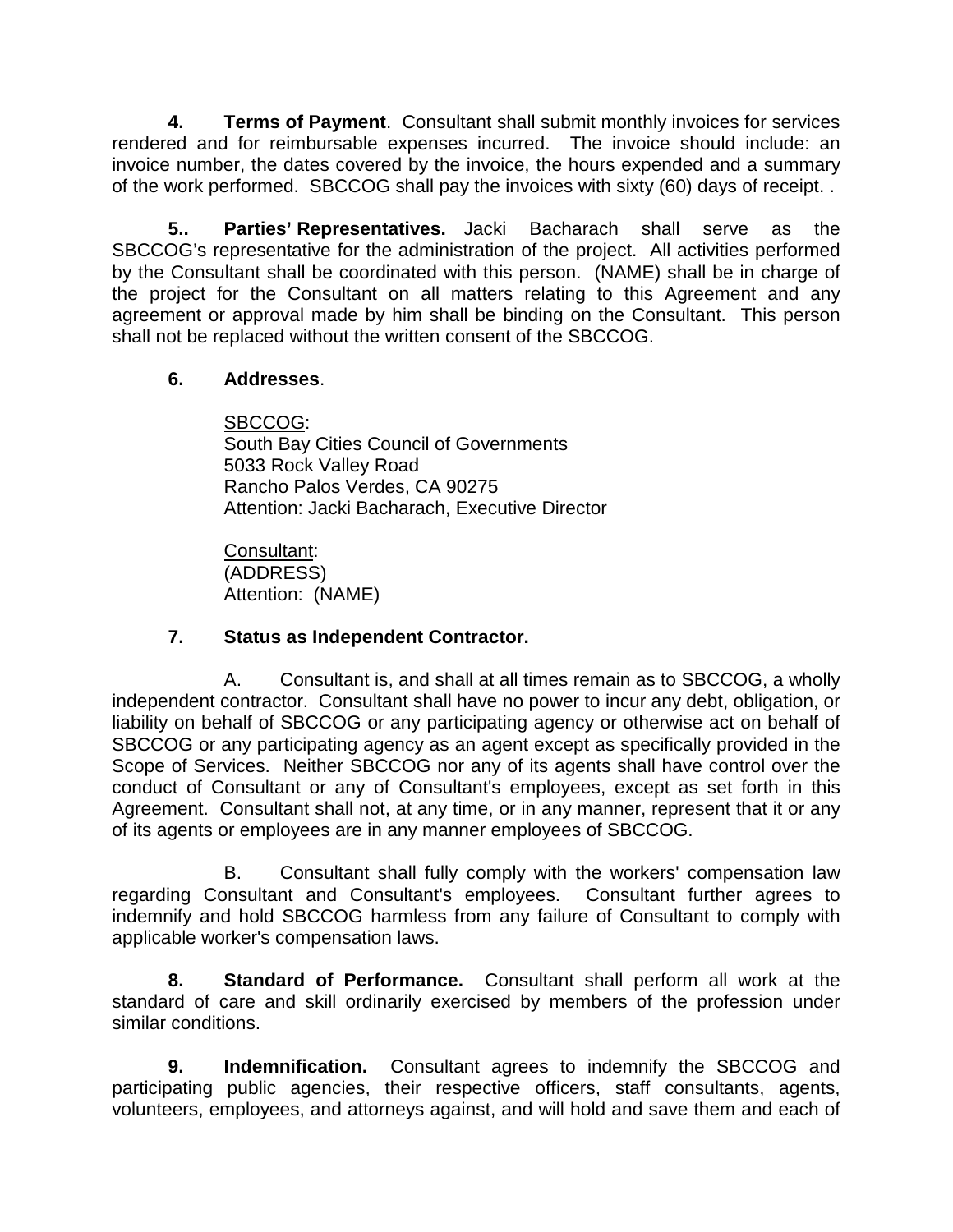**4. Terms of Payment**. Consultant shall submit monthly invoices for services rendered and for reimbursable expenses incurred. The invoice should include: an invoice number, the dates covered by the invoice, the hours expended and a summary of the work performed. SBCCOG shall pay the invoices with sixty (60) days of receipt. .

**5.. Parties' Representatives.** Jacki Bacharach shall serve as the SBCCOG's representative for the administration of the project. All activities performed by the Consultant shall be coordinated with this person. (NAME) shall be in charge of the project for the Consultant on all matters relating to this Agreement and any agreement or approval made by him shall be binding on the Consultant. This person shall not be replaced without the written consent of the SBCCOG.

## **6. Addresses**.

<u>SBCCOG:</u> South Bay Cities Council of Governments 5033 Rock Valley Road Rancho Palos Verdes, CA 90275 Attention: Jacki Bacharach, Executive Director

<u>Consultant</u>: (ADDRESS) Attention: (NAME)

## **7. Status as Independent Contractor.**

A. Consultant is, and shall at all times remain as to SBCCOG, a wholly independent contractor. Consultant shall have no power to incur any debt, obligation, or liability on behalf of SBCCOG or any participating agency or otherwise act on behalf of SBCCOG or any participating agency as an agent except as specifically provided in the Scope of Services. Neither SBCCOG nor any of its agents shall have control over the conduct of Consultant or any of Consultant's employees, except as set forth in this Agreement. Consultant shall not, at any time, or in any manner, represent that it or any of its agents or employees are in any manner employees of SBCCOG.

B. Consultant shall fully comply with the workers' compensation law regarding Consultant and Consultant's employees. Consultant further agrees to indemnify and hold SBCCOG harmless from any failure of Consultant to comply with applicable worker's compensation laws.

**8. Standard of Performance.** Consultant shall perform all work at the standard of care and skill ordinarily exercised by members of the profession under similar conditions.

**9. Indemnification.** Consultant agrees to indemnify the SBCCOG and participating public agencies, their respective officers, staff consultants, agents, volunteers, employees, and attorneys against, and will hold and save them and each of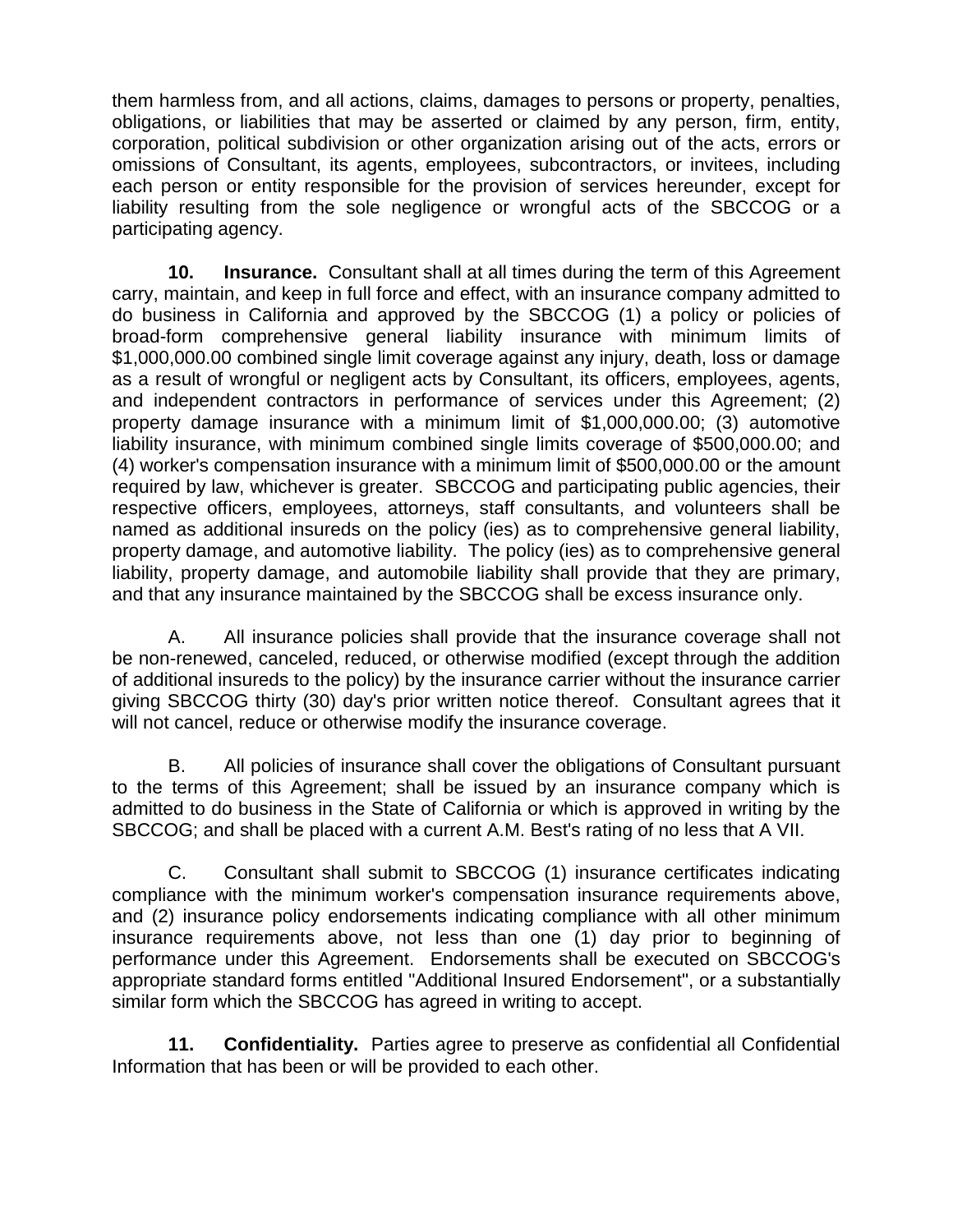them harmless from, and all actions, claims, damages to persons or property, penalties, obligations, or liabilities that may be asserted or claimed by any person, firm, entity, corporation, political subdivision or other organization arising out of the acts, errors or omissions of Consultant, its agents, employees, subcontractors, or invitees, including each person or entity responsible for the provision of services hereunder, except for liability resulting from the sole negligence or wrongful acts of the SBCCOG or a participating agency.

**10. Insurance.** Consultant shall at all times during the term of this Agreement carry, maintain, and keep in full force and effect, with an insurance company admitted to do business in California and approved by the SBCCOG (1) a policy or policies of broad-form comprehensive general liability insurance with minimum limits of \$1,000,000.00 combined single limit coverage against any injury, death, loss or damage as a result of wrongful or negligent acts by Consultant, its officers, employees, agents, and independent contractors in performance of services under this Agreement; (2) property damage insurance with a minimum limit of \$1,000,000.00; (3) automotive liability insurance, with minimum combined single limits coverage of \$500,000.00; and (4) worker's compensation insurance with a minimum limit of \$500,000.00 or the amount required by law, whichever is greater. SBCCOG and participating public agencies, their respective officers, employees, attorneys, staff consultants, and volunteers shall be named as additional insureds on the policy (ies) as to comprehensive general liability, property damage, and automotive liability. The policy (ies) as to comprehensive general liability, property damage, and automobile liability shall provide that they are primary, and that any insurance maintained by the SBCCOG shall be excess insurance only.

A. All insurance policies shall provide that the insurance coverage shall not be non-renewed, canceled, reduced, or otherwise modified (except through the addition of additional insureds to the policy) by the insurance carrier without the insurance carrier giving SBCCOG thirty (30) day's prior written notice thereof. Consultant agrees that it will not cancel, reduce or otherwise modify the insurance coverage.

B. All policies of insurance shall cover the obligations of Consultant pursuant to the terms of this Agreement; shall be issued by an insurance company which is admitted to do business in the State of California or which is approved in writing by the SBCCOG; and shall be placed with a current A.M. Best's rating of no less that A VII.

C. Consultant shall submit to SBCCOG (1) insurance certificates indicating compliance with the minimum worker's compensation insurance requirements above, and (2) insurance policy endorsements indicating compliance with all other minimum insurance requirements above, not less than one (1) day prior to beginning of performance under this Agreement. Endorsements shall be executed on SBCCOG's appropriate standard forms entitled "Additional Insured Endorsement", or a substantially similar form which the SBCCOG has agreed in writing to accept.

**11. Confidentiality.** Parties agree to preserve as confidential all Confidential Information that has been or will be provided to each other.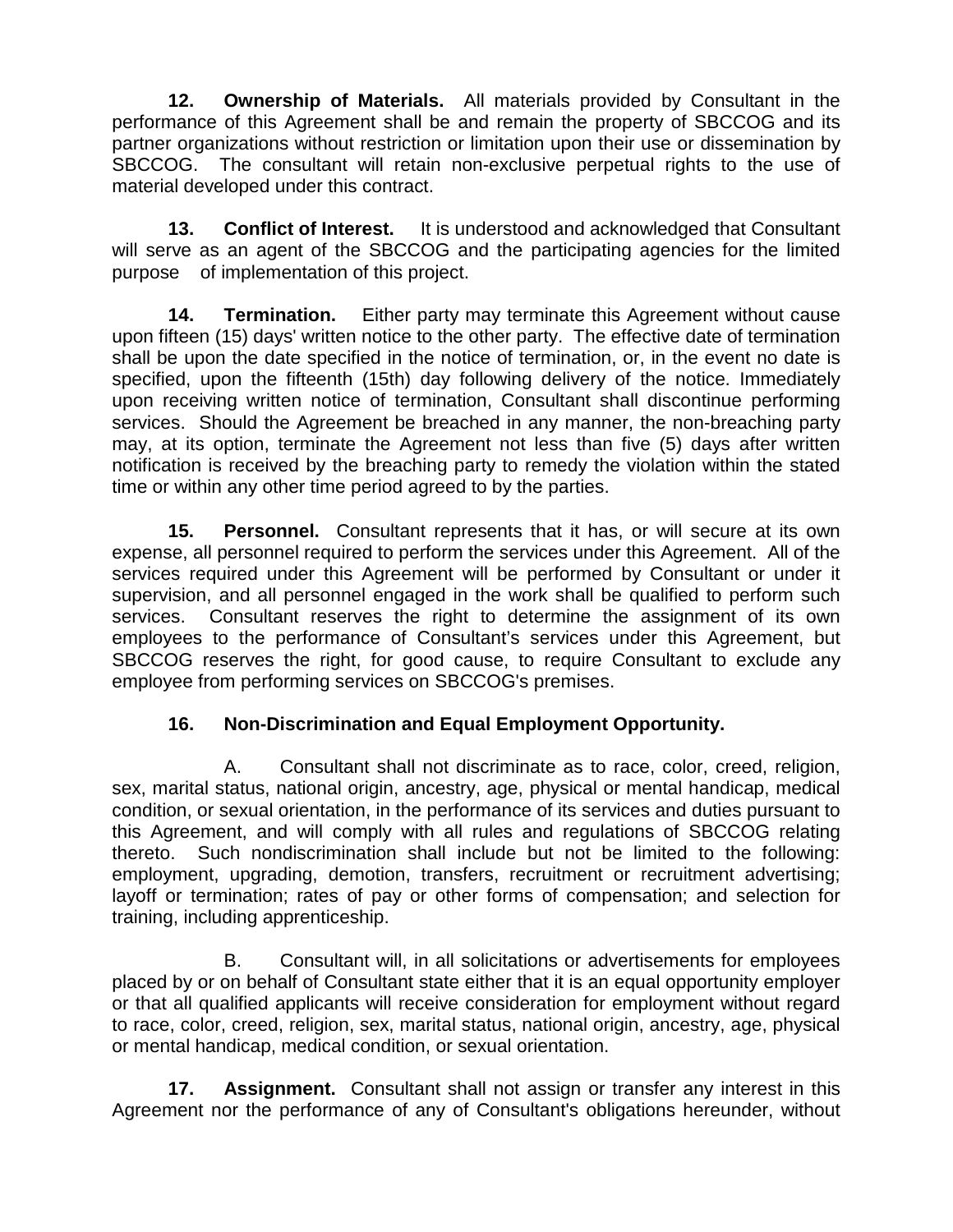**12. Ownership of Materials.** All materials provided by Consultant in the performance of this Agreement shall be and remain the property of SBCCOG and its partner organizations without restriction or limitation upon their use or dissemination by SBCCOG. The consultant will retain non-exclusive perpetual rights to the use of material developed under this contract.

**13. Conflict of Interest.** It is understood and acknowledged that Consultant will serve as an agent of the SBCCOG and the participating agencies for the limited purpose of implementation of this project.

**14. Termination.** Either party may terminate this Agreement without cause upon fifteen (15) days' written notice to the other party. The effective date of termination shall be upon the date specified in the notice of termination, or, in the event no date is specified, upon the fifteenth (15th) day following delivery of the notice. Immediately upon receiving written notice of termination, Consultant shall discontinue performing services. Should the Agreement be breached in any manner, the non-breaching party may, at its option, terminate the Agreement not less than five (5) days after written notification is received by the breaching party to remedy the violation within the stated time or within any other time period agreed to by the parties.

**15. Personnel.** Consultant represents that it has, or will secure at its own expense, all personnel required to perform the services under this Agreement. All of the services required under this Agreement will be performed by Consultant or under it supervision, and all personnel engaged in the work shall be qualified to perform such services. Consultant reserves the right to determine the assignment of its own employees to the performance of Consultant's services under this Agreement, but SBCCOG reserves the right, for good cause, to require Consultant to exclude any employee from performing services on SBCCOG's premises.

# **16. Non-Discrimination and Equal Employment Opportunity.**

A. Consultant shall not discriminate as to race, color, creed, religion, sex, marital status, national origin, ancestry, age, physical or mental handicap, medical condition, or sexual orientation, in the performance of its services and duties pursuant to this Agreement, and will comply with all rules and regulations of SBCCOG relating thereto. Such nondiscrimination shall include but not be limited to the following: employment, upgrading, demotion, transfers, recruitment or recruitment advertising; layoff or termination; rates of pay or other forms of compensation; and selection for training, including apprenticeship.

B. Consultant will, in all solicitations or advertisements for employees placed by or on behalf of Consultant state either that it is an equal opportunity employer or that all qualified applicants will receive consideration for employment without regard to race, color, creed, religion, sex, marital status, national origin, ancestry, age, physical or mental handicap, medical condition, or sexual orientation.

**17. Assignment.** Consultant shall not assign or transfer any interest in this Agreement nor the performance of any of Consultant's obligations hereunder, without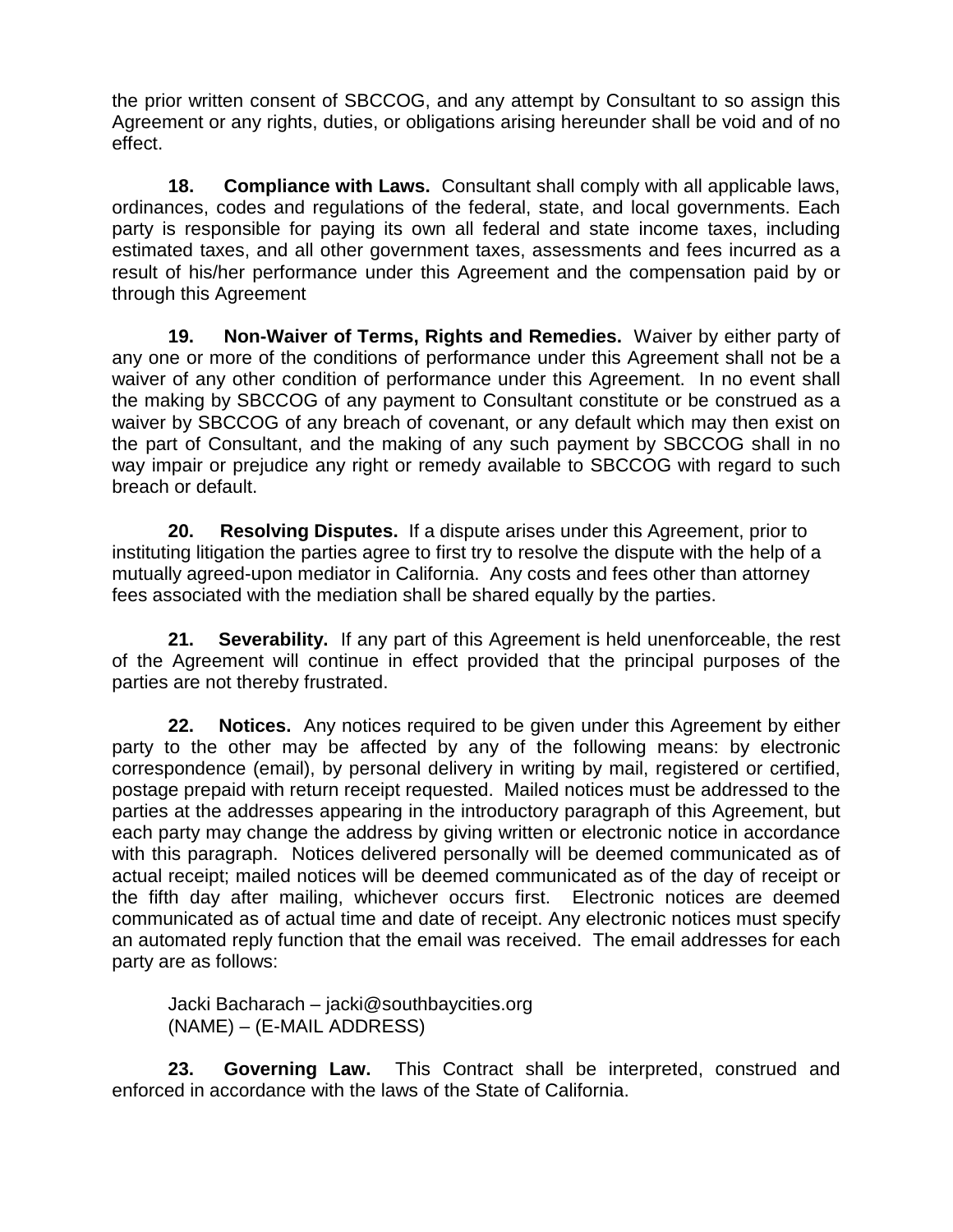the prior written consent of SBCCOG, and any attempt by Consultant to so assign this Agreement or any rights, duties, or obligations arising hereunder shall be void and of no effect.

**18. Compliance with Laws.** Consultant shall comply with all applicable laws, ordinances, codes and regulations of the federal, state, and local governments. Each party is responsible for paying its own all federal and state income taxes, including estimated taxes, and all other government taxes, assessments and fees incurred as a result of his/her performance under this Agreement and the compensation paid by or through this Agreement

**19. Non-Waiver of Terms, Rights and Remedies.** Waiver by either party of any one or more of the conditions of performance under this Agreement shall not be a waiver of any other condition of performance under this Agreement. In no event shall the making by SBCCOG of any payment to Consultant constitute or be construed as a waiver by SBCCOG of any breach of covenant, or any default which may then exist on the part of Consultant, and the making of any such payment by SBCCOG shall in no way impair or prejudice any right or remedy available to SBCCOG with regard to such breach or default.

**20. Resolving Disputes.** If a dispute arises under this Agreement, prior to instituting litigation the parties agree to first try to resolve the dispute with the help of a mutually agreed-upon mediator in California. Any costs and fees other than attorney fees associated with the mediation shall be shared equally by the parties.

**21. Severability.** If any part of this Agreement is held unenforceable, the rest of the Agreement will continue in effect provided that the principal purposes of the parties are not thereby frustrated.

**22. Notices.** Any notices required to be given under this Agreement by either party to the other may be affected by any of the following means: by electronic correspondence (email), by personal delivery in writing by mail, registered or certified, postage prepaid with return receipt requested. Mailed notices must be addressed to the parties at the addresses appearing in the introductory paragraph of this Agreement, but each party may change the address by giving written or electronic notice in accordance with this paragraph. Notices delivered personally will be deemed communicated as of actual receipt; mailed notices will be deemed communicated as of the day of receipt or the fifth day after mailing, whichever occurs first. Electronic notices are deemed communicated as of actual time and date of receipt. Any electronic notices must specify an automated reply function that the email was received. The email addresses for each party are as follows:

Jacki Bacharach – jacki@southbaycities.org (NAME) – (E-MAIL ADDRESS)

**23. Governing Law.** This Contract shall be interpreted, construed and enforced in accordance with the laws of the State of California.